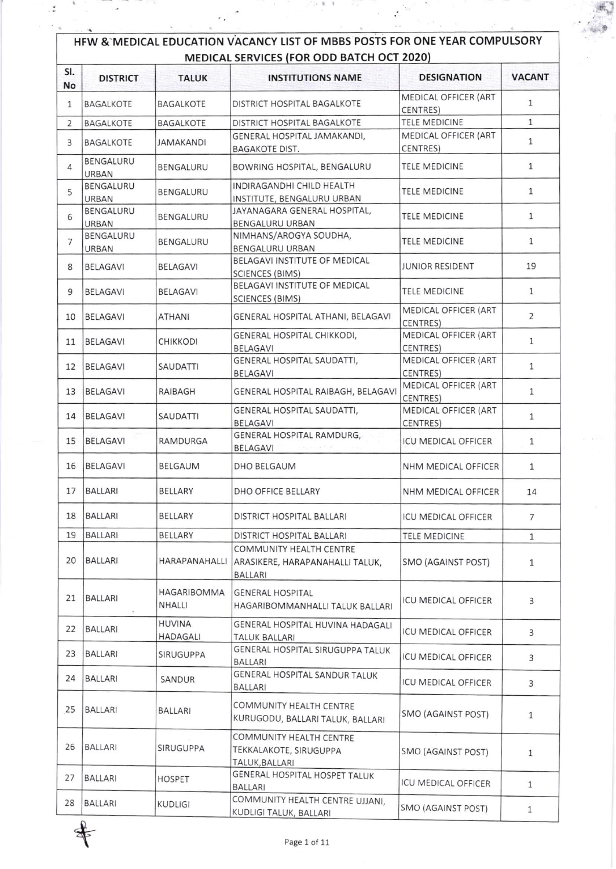| HFW & MEDICAL EDUCATION VACANCY LIST OF MBBS POSTS FOR ONE YEAR COMPULSORY<br><b>MEDICAL SERVICES (FOR ODD BATCH OCT 2020)</b> |                           |                              |                                                                              |                                         |               |  |  |
|--------------------------------------------------------------------------------------------------------------------------------|---------------------------|------------------------------|------------------------------------------------------------------------------|-----------------------------------------|---------------|--|--|
| SI.<br>No                                                                                                                      | <b>DISTRICT</b>           | <b>TALUK</b>                 | <b>INSTITUTIONS NAME</b>                                                     | <b>DESIGNATION</b>                      | <b>VACANT</b> |  |  |
| 1                                                                                                                              | <b>BAGALKOTE</b>          | <b>BAGALKOTE</b>             | DISTRICT HOSPITAL BAGALKOTE                                                  | MEDICAL OFFICER (ART<br><b>CENTRES)</b> | 1             |  |  |
| $\overline{2}$                                                                                                                 | <b>BAGALKOTE</b>          | <b>BAGALKOTE</b>             | DISTRICT HOSPITAL BAGALKOTE                                                  | <b>TELE MEDICINE</b>                    | $\mathbf{1}$  |  |  |
| 3                                                                                                                              | <b>BAGALKOTE</b>          | <b>JAMAKANDI</b>             | GENERAL HOSPITAL JAMAKANDI.<br><b>BAGAKOTE DIST.</b>                         | MEDICAL OFFICER (ART<br>CENTRES)        | $\mathbf{1}$  |  |  |
| 4                                                                                                                              | BENGALURU<br>URBAN        | BENGALURU                    | BOWRING HOSPITAL, BENGALURU                                                  | <b>TELE MEDICINE</b>                    | 1             |  |  |
| 5                                                                                                                              | BENGALURU<br>URBAN        | BENGALURU                    | INDIRAGANDHI CHILD HEALTH<br>INSTITUTE, BENGALURU URBAN                      | <b>TELE MEDICINE</b>                    | $\mathbf{1}$  |  |  |
| 6                                                                                                                              | <b>BENGALURU</b><br>URBAN | BENGALURU                    | JAYANAGARA GENERAL HOSPITAL,<br>BENGALURU URBAN                              | <b>TELE MEDICINE</b>                    | $\mathbf{1}$  |  |  |
| $\overline{7}$                                                                                                                 | BENGALURU<br><b>URBAN</b> | BENGALURU                    | NIMHANS/AROGYA SOUDHA,<br><b>BENGALURU URBAN</b>                             | <b>TELE MEDICINE</b>                    | $\mathbf{1}$  |  |  |
| 8                                                                                                                              | <b>BELAGAVI</b>           | <b>BELAGAVI</b>              | BELAGAVI INSTITUTE OF MEDICAL                                                | <b>JUNIOR RESIDENT</b>                  | 19            |  |  |
| 9                                                                                                                              | <b>BELAGAVI</b>           | <b>BELAGAVI</b>              | <b>SCIENCES (BIMS)</b><br>BELAGAVI INSTITUTE OF MEDICAL                      | <b>TELE MEDICINE</b>                    | $\mathbf{1}$  |  |  |
| 10                                                                                                                             | <b>BELAGAVI</b>           | <b>ATHANI</b>                | <b>SCIENCES (BIMS)</b><br>GENERAL HOSPITAL ATHANI, BELAGAVI                  | MEDICAL OFFICER (ART                    | 2             |  |  |
| 11                                                                                                                             | <b>BELAGAVI</b>           | <b>CHIKKODI</b>              | GENERAL HOSPITAL CHIKKODI,                                                   | CENTRES)<br>MEDICAL OFFICER (ART        | $\mathbf{1}$  |  |  |
| 12                                                                                                                             | <b>BELAGAVI</b>           | SAUDATTI                     | <b>BELAGAVI</b><br>GENERAL HOSPITAL SAUDATTI,                                | CENTRES)<br>MEDICAL OFFICER (ART        | $\mathbf{1}$  |  |  |
| 13                                                                                                                             | <b>BELAGAVI</b>           | RAIBAGH                      | <b>BELAGAVI</b><br>GENERAL HOSPITAL RAIBAGH, BELAGAVI                        | CENTRES)<br><b>MEDICAL OFFICER (ART</b> | $\mathbf{1}$  |  |  |
| 14                                                                                                                             | <b>BELAGAVI</b>           | <b>SAUDATTI</b>              | GENERAL HOSPITAL SAUDATTI,                                                   | CENTRES)<br><b>MEDICAL OFFICER (ART</b> | $\mathbf{1}$  |  |  |
| 15                                                                                                                             | <b>BELAGAVI</b>           | RAMDURGA                     | <b>BELAGAVI</b><br><b>GENERAL HOSPITAL RAMDURG,</b>                          | CENTRES)<br><b>ICU MEDICAL OFFICER</b>  | $\mathbf{1}$  |  |  |
| 16                                                                                                                             | <b>BELAGAVI</b>           | BELGAUM                      | <b>BELAGAVI</b><br>DHO BELGAUM                                               | NHM MEDICAL OFFICER                     | 1             |  |  |
| 17                                                                                                                             | <b>BALLARI</b>            | <b>BELLARY</b>               | DHO OFFICE BELLARY                                                           | NHM MEDICAL OFFICER                     | 14            |  |  |
| 18                                                                                                                             | <b>BALLARI</b>            | BELLARY                      | DISTRICT HOSPITAL BALLARI                                                    | ICU MEDICAL OFFICER                     | 7             |  |  |
| 19                                                                                                                             | <b>BALLARI</b>            | <b>BELLARY</b>               | DISTRICT HOSPITAL BALLARI                                                    | TELE MEDICINE                           | $\mathbf{1}$  |  |  |
| 20                                                                                                                             | <b>BALLARI</b>            | HARAPANAHALLI                | COMMUNITY HEALTH CENTRE<br>ARASIKERE, HARAPANAHALLI TALUK,<br><b>BALLARI</b> | SMO (AGAINST POST)                      | 1             |  |  |
| 21                                                                                                                             | <b>BALLARI</b>            | HAGARIBOMMA<br><b>NHALLI</b> | <b>GENERAL HOSPITAL</b><br>HAGARIBOMMANHALLI TALUK BALLARI                   | ICU MEDICAL OFFICER                     | 3             |  |  |
| 22                                                                                                                             | <b>BALLARI</b>            | <b>HUVINA</b><br>HADAGALI    | GENERAL HOSPITAL HUVINA HADAGALI<br><b>TALUK BALLARI</b>                     | <b>ICU MEDICAL OFFICER</b>              | 3             |  |  |
| 23                                                                                                                             | <b>BALLARI</b>            | SIRUGUPPA                    | GENERAL HOSPITAL SIRUGUPPA TALUK<br><b>BALLARI</b>                           | <b>ICU MEDICAL OFFICER</b>              | 3             |  |  |
| 24                                                                                                                             | <b>BALLARI</b>            | SANDUR                       | GENERAL HOSPITAL SANDUR TALUK<br>BALLARI                                     | <b>ICU MEDICAL OFFICER</b>              | 3             |  |  |
| 25                                                                                                                             | <b>BALLARI</b>            | BALLARI                      | COMMUNITY HEALTH CENTRE<br>KURUGODU, BALLARI TALUK, BALLARI                  | SMO (AGAINST POST)                      | $\mathbf{1}$  |  |  |
| 26                                                                                                                             | <b>BALLARI</b>            | SIRUGUPPA                    | COMMUNITY HEALTH CENTRE<br>TEKKALAKOTE, SIRUGUPPA<br>TALUK, BALLARI          | SMO (AGAINST POST)                      | 1             |  |  |
| 27                                                                                                                             | <b>BALLARI</b>            | <b>HOSPET</b>                | GENERAL HOSPITAL HOSPET TALUK<br><b>BALLARI</b>                              | ICU MEDICAL OFFICER                     | 1             |  |  |
| 28                                                                                                                             | <b>BALLARI</b>            | <b>KUDLIGI</b>               | COMMUNITY HEALTH CENTRE UJJANI,<br>KUDLIGI TALUK, BALLARI                    | SMO (AGAINST POST)                      | 1             |  |  |

 $\ddot{\cdot}$